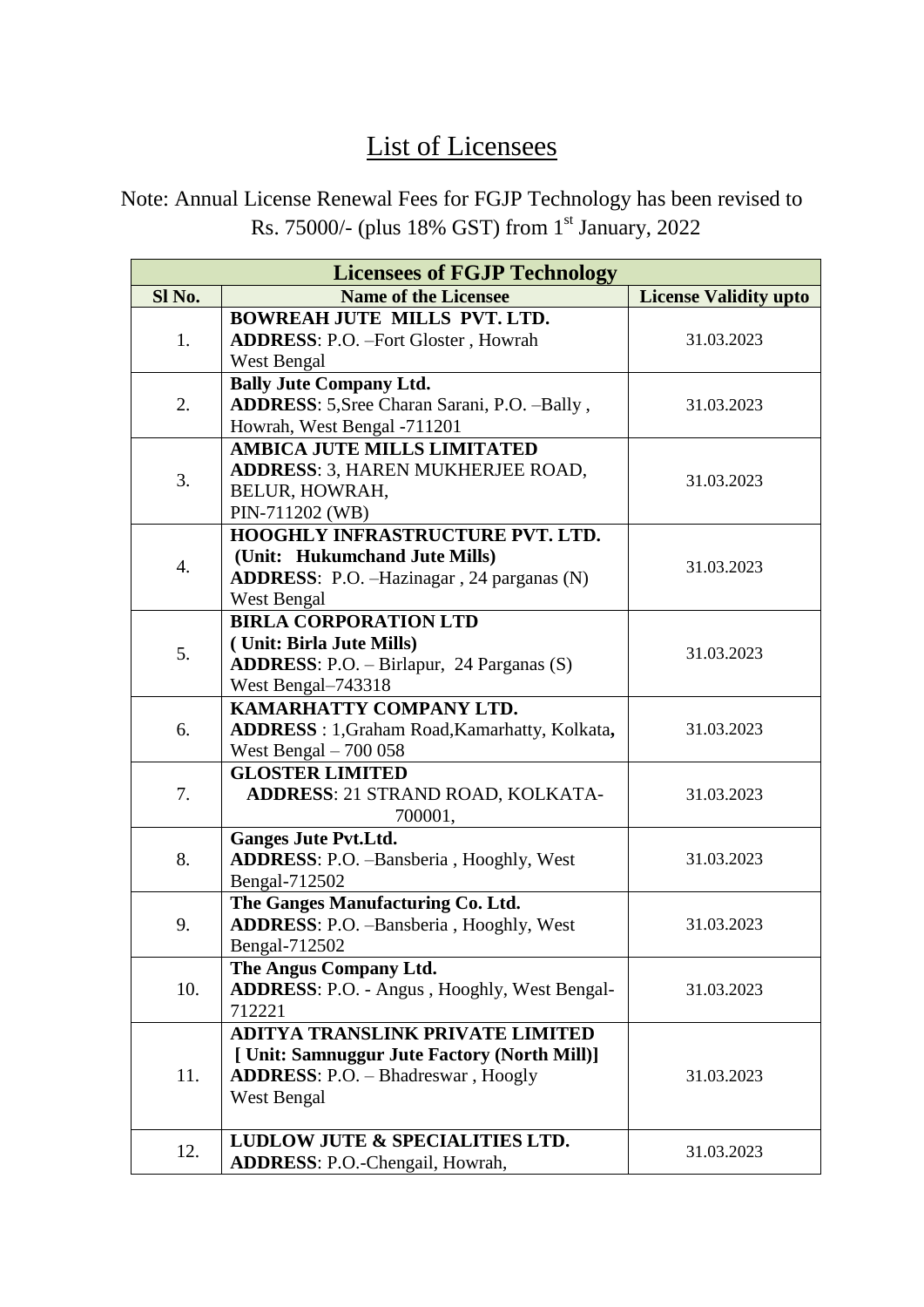## List of Licensees

Note: Annual License Renewal Fees for FGJP Technology has been revised to Rs. 75000/- (plus 18% GST) from 1st January, 2022

| <b>Licensees of FGJP Technology</b> |                                                       |                              |  |  |
|-------------------------------------|-------------------------------------------------------|------------------------------|--|--|
| Sl No.                              | <b>Name of the Licensee</b>                           | <b>License Validity upto</b> |  |  |
| 1.                                  | <b>BOWREAH JUTE MILLS PVT. LTD.</b>                   |                              |  |  |
|                                     | <b>ADDRESS: P.O. - Fort Gloster, Howrah</b>           | 31.03.2023                   |  |  |
|                                     | West Bengal                                           |                              |  |  |
| 2.                                  | <b>Bally Jute Company Ltd.</b>                        |                              |  |  |
|                                     | ADDRESS: 5, Sree Charan Sarani, P.O. -Bally,          | 31.03.2023                   |  |  |
|                                     | Howrah, West Bengal -711201                           |                              |  |  |
| 3.                                  | <b>AMBICA JUTE MILLS LIMITATED</b>                    |                              |  |  |
|                                     | <b>ADDRESS: 3, HAREN MUKHERJEE ROAD,</b>              | 31.03.2023                   |  |  |
|                                     | BELUR, HOWRAH,                                        |                              |  |  |
|                                     | PIN-711202 (WB)                                       |                              |  |  |
|                                     | <b>HOOGHLY INFRASTRUCTURE PVT. LTD.</b>               |                              |  |  |
| 4.                                  | (Unit: Hukumchand Jute Mills)                         | 31.03.2023                   |  |  |
|                                     | <b>ADDRESS:</b> P.O. -Hazinagar, 24 parganas (N)      |                              |  |  |
|                                     | West Bengal                                           |                              |  |  |
|                                     | <b>BIRLA CORPORATION LTD</b>                          |                              |  |  |
| 5.                                  | (Unit: Birla Jute Mills)                              | 31.03.2023                   |  |  |
|                                     | <b>ADDRESS:</b> P.O. $-$ Birlapur, 24 Parganas $(S)$  |                              |  |  |
|                                     | West Bengal-743318                                    |                              |  |  |
|                                     | KAMARHATTY COMPANY LTD.                               |                              |  |  |
| 6.                                  | <b>ADDRESS</b> : 1, Graham Road, Kamarhatty, Kolkata, | 31.03.2023                   |  |  |
|                                     | West Bengal $-700058$                                 |                              |  |  |
|                                     | <b>GLOSTER LIMITED</b>                                |                              |  |  |
| 7.                                  | <b>ADDRESS: 21 STRAND ROAD, KOLKATA-</b>              | 31.03.2023                   |  |  |
|                                     | 700001,                                               |                              |  |  |
|                                     | <b>Ganges Jute Pvt.Ltd.</b>                           |                              |  |  |
| 8.                                  | ADDRESS: P.O. -Bansberia, Hooghly, West               | 31.03.2023                   |  |  |
|                                     | Bengal-712502                                         |                              |  |  |
| 9.                                  | The Ganges Manufacturing Co. Ltd.                     |                              |  |  |
|                                     | ADDRESS: P.O. -Bansberia, Hooghly, West               | 31.03.2023                   |  |  |
|                                     | Bengal-712502                                         |                              |  |  |
|                                     | The Angus Company Ltd.                                |                              |  |  |
| 10.                                 | <b>ADDRESS: P.O. - Angus, Hooghly, West Bengal-</b>   | 31.03.2023                   |  |  |
|                                     | 712221                                                |                              |  |  |
|                                     | <b>ADITYA TRANSLINK PRIVATE LIMITED</b>               |                              |  |  |
| 11.                                 | [ Unit: Samnuggur Jute Factory (North Mill)]          |                              |  |  |
|                                     | <b>ADDRESS: P.O. - Bhadreswar, Hoogly</b>             | 31.03.2023                   |  |  |
|                                     | West Bengal                                           |                              |  |  |
|                                     |                                                       |                              |  |  |
| 12.                                 | LUDLOW JUTE & SPECIALITIES LTD.                       | 31.03.2023                   |  |  |
|                                     | <b>ADDRESS: P.O.-Chengail, Howrah,</b>                |                              |  |  |